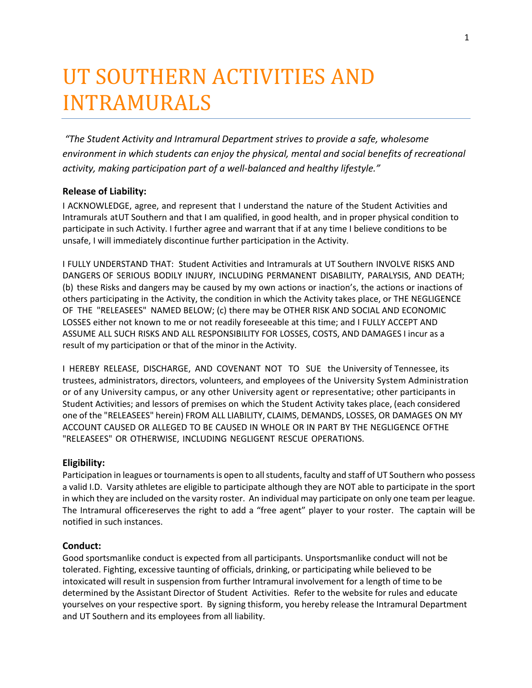# UT SOUTHERN ACTIVITIES AND INTRAMURALS

*"The Student Activity and Intramural Department strives to provide a safe, wholesome environment in which students can enjoy the physical, mental and social benefits of recreational activity, making participation part of a well-balanced and healthy lifestyle."* 

### **Release of Liability:**

I ACKNOWLEDGE, agree, and represent that I understand the nature of the Student Activities and Intramurals atUT Southern and that I am qualified, in good health, and in proper physical condition to participate in such Activity. I further agree and warrant that if at any time I believe conditions to be unsafe, I will immediately discontinue further participation in the Activity.

I FULLY UNDERSTAND THAT: Student Activities and Intramurals at UT Southern INVOLVE RISKS AND DANGERS OF SERIOUS BODILY INJURY, INCLUDING PERMANENT DISABILITY, PARALYSIS, AND DEATH; (b) these Risks and dangers may be caused by my own actions or inaction's, the actions or inactions of others participating in the Activity, the condition in which the Activity takes place, or THE NEGLIGENCE OF THE "RELEASEES" NAMED BELOW; (c) there may be OTHER RISK AND SOCIAL AND ECONOMIC LOSSES either not known to me or not readily foreseeable at this time; and I FULLY ACCEPT AND ASSUME ALL SUCH RISKS AND ALL RESPONSIBILITY FOR LOSSES, COSTS, AND DAMAGES I incur as a result of my participation or that of the minor in the Activity.

I HEREBY RELEASE, DISCHARGE, AND COVENANT NOT TO SUE the University of Tennessee, its trustees, administrators, directors, volunteers, and employees of the University System Administration or of any University campus, or any other University agent or representative; other participants in Student Activities; and lessors of premises on which the Student Activity takes place, (each considered one of the "RELEASEES" herein) FROM ALL LIABILITY, CLAIMS, DEMANDS, LOSSES, OR DAMAGES ON MY ACCOUNT CAUSED OR ALLEGED TO BE CAUSED IN WHOLE OR IN PART BY THE NEGLIGENCE OFTHE "RELEASEES" OR OTHERWISE, INCLUDING NEGLIGENT RESCUE OPERATIONS.

### **Eligibility:**

Participation in leagues or tournaments is open to all students, faculty and staff of UT Southern who possess a valid I.D. Varsity athletes are eligible to participate although they are NOT able to participate in the sport in which they are included on the varsity roster. An individual may participate on only one team per league. The Intramural officereserves the right to add a "free agent" player to your roster. The captain will be notified in such instances.

#### **Conduct:**

Good sportsmanlike conduct is expected from all participants. Unsportsmanlike conduct will not be tolerated. Fighting, excessive taunting of officials, drinking, or participating while believed to be intoxicated will result in suspension from further Intramural involvement for a length of time to be determined by the Assistant Director of Student Activities. Refer to the website for rules and educate yourselves on your respective sport. By signing thisform, you hereby release the Intramural Department and UT Southern and its employees from all liability.